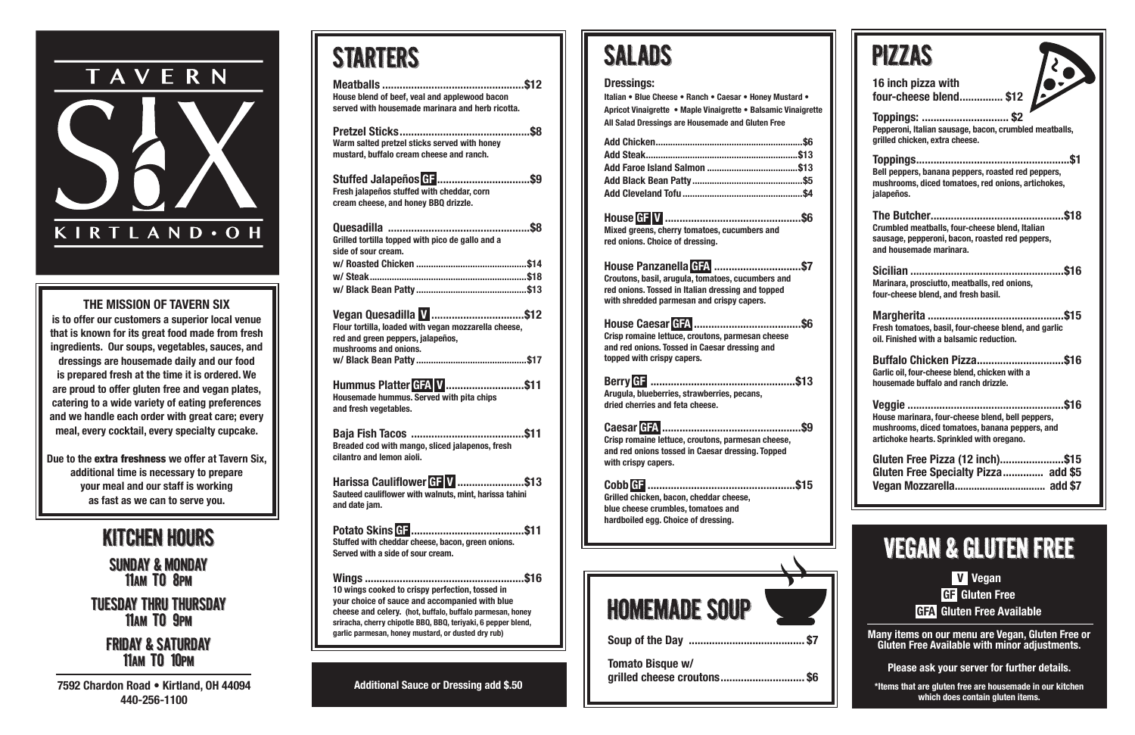| STARTERS                                                                                                                                                                                                                                                                              |
|---------------------------------------------------------------------------------------------------------------------------------------------------------------------------------------------------------------------------------------------------------------------------------------|
| House blend of beef, veal and applewood bacon<br>served with housemade marinara and herb ricotta.                                                                                                                                                                                     |
| Warm salted pretzel sticks served with honey<br>mustard, buffalo cream cheese and ranch.                                                                                                                                                                                              |
| Stuffed Jalapeños GF \$9<br>Fresh jalapeños stuffed with cheddar, corn<br>cream cheese, and honey BBQ drizzle.                                                                                                                                                                        |
| Quesadilla ……………………………………………\$8<br>Grilled tortilla topped with pico de gallo and a<br>side of sour cream.                                                                                                                                                                            |
|                                                                                                                                                                                                                                                                                       |
| Vegan Quesadilla V \$12<br>Flour tortilla, loaded with vegan mozzarella cheese,<br>red and green peppers, jalapeños,<br>mushrooms and onions.                                                                                                                                         |
| Hummus Platter GFA V \$11<br><b>Housemade hummus. Served with pita chips</b><br>and fresh vegetables.                                                                                                                                                                                 |
| Breaded cod with mango, sliced jalapenos, fresh<br>cilantro and lemon aioli.                                                                                                                                                                                                          |
| Harissa Cauliflower GF V \$13<br>Sauteed cauliflower with walnuts, mint, harissa tahini<br>and date jam.                                                                                                                                                                              |
| Stuffed with cheddar cheese, bacon, green onions.<br>Served with a side of sour cream.                                                                                                                                                                                                |
| 10 wings cooked to crispy perfection, tossed in<br>your choice of sauce and accompanied with blue<br>cheese and celery. (hot, buffalo, buffalo parmesan, honey<br>sriracha, cherry chipotle BBQ, BBQ, teriyaki, 6 pepper blend,<br>garlic parmesan, honey mustard, or dusted dry rub) |
|                                                                                                                                                                                                                                                                                       |

tuesday thru thursday 11AM TO 9PM

| <b>PZZAS</b>                                                                                                                                    |
|-------------------------------------------------------------------------------------------------------------------------------------------------|
| 16 inch pizza with<br>four-cheese blend \$12                                                                                                    |
| <b>Toppings:  \$2</b><br>Pepperoni, Italian sausage, bacon, crumbled meatballs,<br>grilled chicken, extra cheese.                               |
| Bell peppers, banana peppers, roasted red peppers,<br>mushrooms, diced tomatoes, red onions, artichokes,<br>jalapeños.                          |
| Crumbled meatballs, four-cheese blend, Italian<br>sausage, pepperoni, bacon, roasted red peppers,<br>and housemade marinara.                    |
| Marinara, prosciutto, meatballs, red onions,<br>four-cheese blend, and fresh basil.                                                             |
| Fresh tomatoes, basil, four-cheese blend, and garlic<br>oil. Finished with a balsamic reduction.                                                |
| <b>Buffalo Chicken Pizza\$16</b><br>Garlic oil, four-cheese blend, chicken with a<br>housemade buffalo and ranch drizzle.                       |
| House marinara, four-cheese blend, bell peppers,<br>mushrooms, diced tomatoes, banana peppers, and<br>artichoke hearts. Sprinkled with oregano. |
| Gluten Free Pizza (12 inch)\$15<br>Gluten Free Specialty Pizza add \$5                                                                          |

#### kitchen hours

Sunday & MONday 11Am to 8Pm

friday & saturday 11Am to 10Pm

**7592 Chardon Road • Kirtland, OH 44094 440-256-1100**

**grilled cheese croutons............................. \$6 Additional Sauce or Dressing add \$.50**

# TAVERN KIRTLAND . OH

#### **THE MISSION OF TAVERN SIX**

**is to offer our customers a superior local venue that is known for its great food made from fresh ingredients. Our soups, vegetables, sauces, and dressings are housemade daily and our food is prepared fresh at the time it is ordered. We are proud to offer gluten free and vegan plates, catering to a wide variety of eating preferences and we handle each order with great care; every meal, every cocktail, every specialty cupcake.** 

**Due to the** extra freshness **we offer at Tavern Six, additional time is necessary to prepare your meal and our staff is working as fast as we can to serve you.**

## SALADS

| Soup of the Day<br><br><b>Tomato Bisque w/</b><br>grilled cheese croutons<br>\$6                                                                                                                     |  |
|------------------------------------------------------------------------------------------------------------------------------------------------------------------------------------------------------|--|
| <b>HOMEMADE SOUP</b>                                                                                                                                                                                 |  |
|                                                                                                                                                                                                      |  |
| blue cheese crumbles, tomatoes and<br>hardboiled egg. Choice of dressing.                                                                                                                            |  |
| Grilled chicken, bacon, cheddar cheese,                                                                                                                                                              |  |
| Crisp romaine lettuce, croutons, parmesan cheese,<br>and red onions tossed in Caesar dressing. Topped<br>with crispy capers.                                                                         |  |
| Arugula, blueberries, strawberries, pecans,<br>dried cherries and feta cheese.                                                                                                                       |  |
| Crisp romaine lettuce, croutons, parmesan cheese<br>and red onions. Tossed in Caesar dressing and<br>topped with crispy capers.                                                                      |  |
| House Panzanella G74 \$7<br>Croutons, basil, arugula, tomatoes, cucumbers and<br>red onions. Tossed in Italian dressing and topped<br>with shredded parmesan and crispy capers.                      |  |
| Mixed greens, cherry tomatoes, cucumbers and<br>red onions. Choice of dressing.                                                                                                                      |  |
|                                                                                                                                                                                                      |  |
| <b>Dressings:</b><br>Italian . Blue Cheese . Ranch . Caesar . Honey Mustard .<br>Apricot Vinaigrette . Maple Vinaigrette . Balsamic Vinaigrette<br>All Salad Dressings are Housemade and Gluten Free |  |



**V Vegan GF Gluten Free GFA Gluten Free Available**

**Many items on our menu are Vegan, Gluten Free or Gluten Free Available with minor adjustments.** 

**Please ask your server for further details.**

**\*Items that are gluten free are housemade in our kitchen which does contain gluten items.**